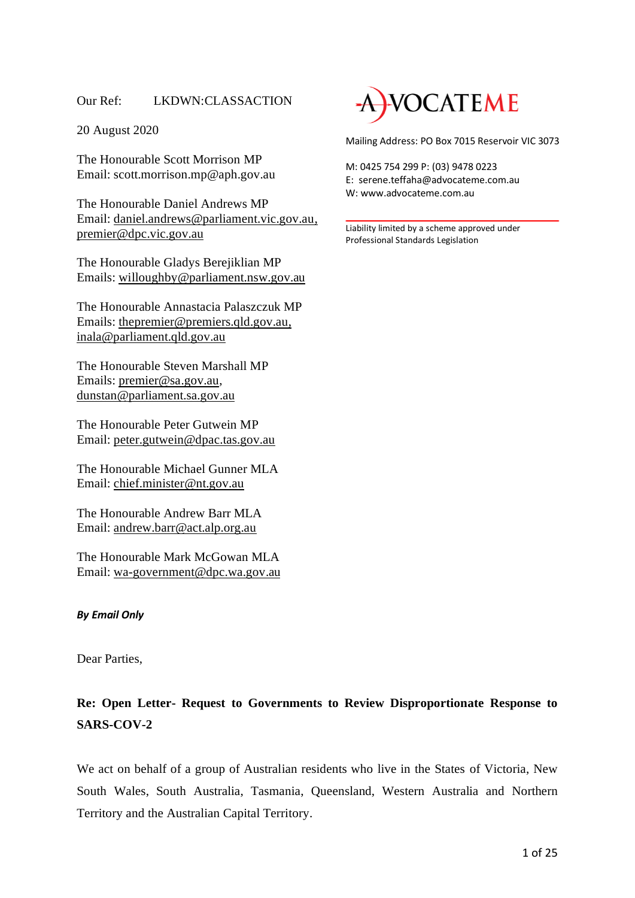# Our Ref: LKDWN:CLASSACTION

20 August 2020

The Honourable Scott Morrison MP Email: scott.morrison.mp@aph.gov.au

The Honourable Daniel Andrews MP Email: [daniel.andrews@parliament.vic.gov.au,](mailto:daniel.andrews@parliament.vic.gov.au) [premier@dpc.vic.gov.au](mailto:premier@dpc.vic.gov.au)

The Honourable Gladys Berejiklian MP Emails: [willoughby@parliament.nsw.gov.au](mailto:willoughby@parliament.nsw.gov.au)

The Honourable Annastacia Palaszczuk MP Emails: th[epremier@premiers.qld.gov.au,](mailto:premier@premiers.qld.gov.au) [inala@parliament.qld.gov.au](mailto:inala@parliament.qld.gov.au)

The Honourable Steven Marshall MP Emails: [premier@sa.gov.au,](mailto:premier@sa.gov.au) [dunstan@parliament.sa.gov.au](mailto:dunstan@parliament.sa.gov.au)

The Honourable Peter Gutwein MP Email: [peter.gutwein@dpac.tas.gov.au](mailto:peter.gutwein@dpac.tas.gov.au)

The Honourable Michael Gunner MLA Email: [chief.minister@nt.gov.au](mailto:chief.minister@nt.gov.au)

The Honourable Andrew Barr MLA Email: [andrew.barr@act.alp.org.au](mailto:andrew.barr@act.alp.org.au)

The Honourable Mark McGowan MLA Email: [wa-government@dpc.wa.gov.au](mailto:wa-government@dpc.wa.gov.au)

# *By Email Only*

Dear Parties,

# **Re: Open Letter- Request to Governments to Review Disproportionate Response to SARS-COV-2**

We act on behalf of a group of Australian residents who live in the States of Victoria, New South Wales, South Australia, Tasmania, Queensland, Western Australia and Northern Territory and the Australian Capital Territory.



Mailing Address: PO Box 7015 Reservoir VIC 3073

M: 0425 754 299 P: (03) 9478 0223 E: serene.teffaha@advocateme.com.au W: www.advocateme.com.au

Liability limited by a scheme approved under Professional Standards Legislation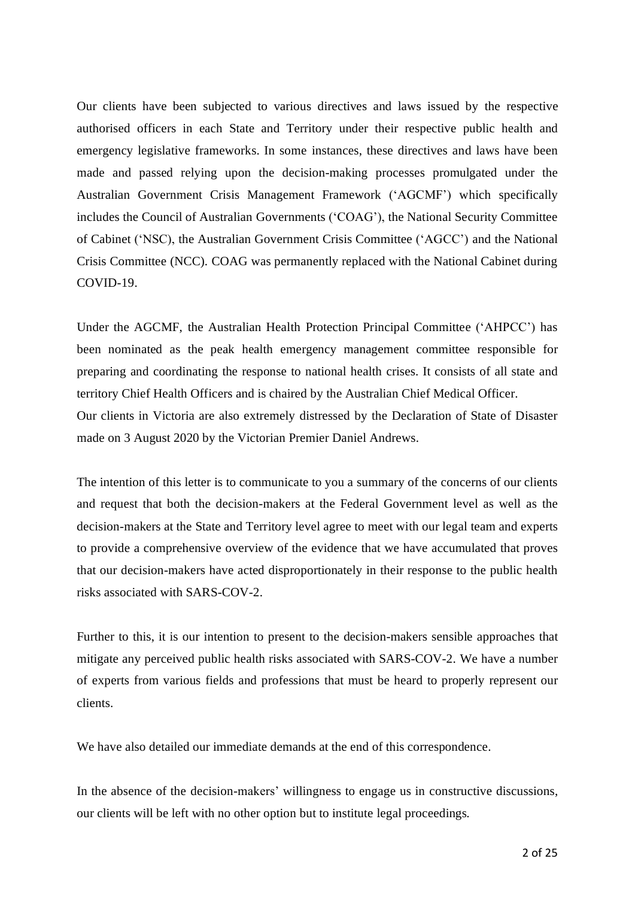Our clients have been subjected to various directives and laws issued by the respective authorised officers in each State and Territory under their respective public health and emergency legislative frameworks. In some instances, these directives and laws have been made and passed relying upon the decision-making processes promulgated under the Australian Government Crisis Management Framework ('AGCMF') which specifically includes the Council of Australian Governments ('COAG'), the National Security Committee of Cabinet ('NSC), the Australian Government Crisis Committee ('AGCC') and the National Crisis Committee (NCC). COAG was permanently replaced with the National Cabinet during COVID-19.

Under the AGCMF, the Australian Health Protection Principal Committee ('AHPCC') has been nominated as the peak health emergency management committee responsible for preparing and coordinating the response to national health crises. It consists of all state and territory Chief Health Officers and is chaired by the Australian Chief Medical Officer. Our clients in Victoria are also extremely distressed by the Declaration of State of Disaster made on 3 August 2020 by the Victorian Premier Daniel Andrews.

The intention of this letter is to communicate to you a summary of the concerns of our clients and request that both the decision-makers at the Federal Government level as well as the decision-makers at the State and Territory level agree to meet with our legal team and experts to provide a comprehensive overview of the evidence that we have accumulated that proves that our decision-makers have acted disproportionately in their response to the public health risks associated with SARS-COV-2.

Further to this, it is our intention to present to the decision-makers sensible approaches that mitigate any perceived public health risks associated with SARS-COV-2. We have a number of experts from various fields and professions that must be heard to properly represent our clients.

We have also detailed our immediate demands at the end of this correspondence.

In the absence of the decision-makers' willingness to engage us in constructive discussions, our clients will be left with no other option but to institute legal proceedings.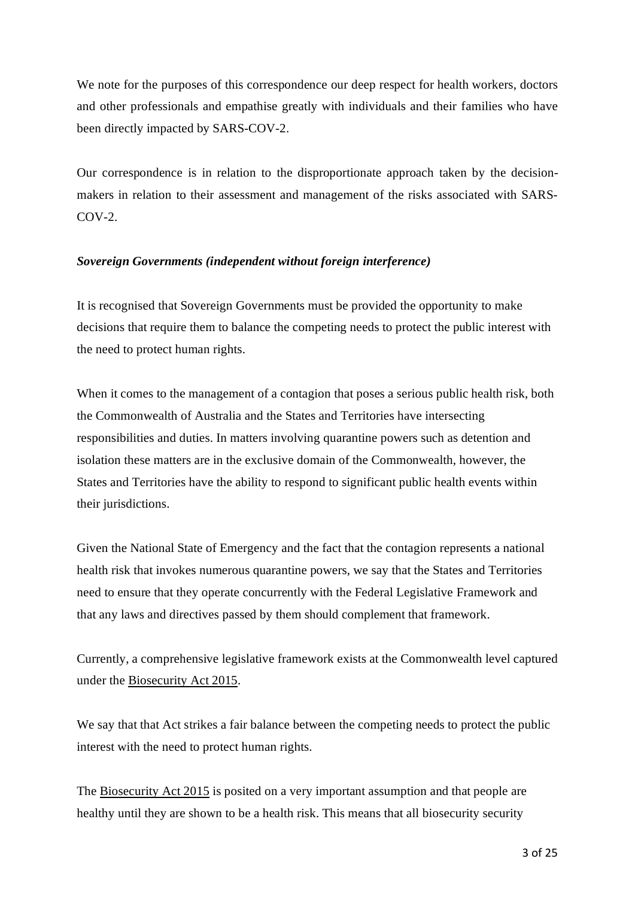We note for the purposes of this correspondence our deep respect for health workers, doctors and other professionals and empathise greatly with individuals and their families who have been directly impacted by SARS-COV-2.

Our correspondence is in relation to the disproportionate approach taken by the decisionmakers in relation to their assessment and management of the risks associated with SARS-COV-2.

# *Sovereign Governments (independent without foreign interference)*

It is recognised that Sovereign Governments must be provided the opportunity to make decisions that require them to balance the competing needs to protect the public interest with the need to protect human rights.

When it comes to the management of a contagion that poses a serious public health risk, both the Commonwealth of Australia and the States and Territories have intersecting responsibilities and duties. In matters involving quarantine powers such as detention and isolation these matters are in the exclusive domain of the Commonwealth, however, the States and Territories have the ability to respond to significant public health events within their jurisdictions.

Given the National State of Emergency and the fact that the contagion represents a national health risk that invokes numerous quarantine powers, we say that the States and Territories need to ensure that they operate concurrently with the Federal Legislative Framework and that any laws and directives passed by them should complement that framework.

Currently, a comprehensive legislative framework exists at the Commonwealth level captured under the [Biosecurity](https://www.legislation.gov.au/Details/C2020C00127) Act 2015.

We say that that Act strikes a fair balance between the competing needs to protect the public interest with the need to protect human rights.

The [Biosecurity](http://classic.austlii.edu.au/au/legis/cth/consol_act/ba2015156/s60.html) Act 2015 is posited on a very important assumption and that people are healthy until they are shown to be a health risk. This means that all biosecurity security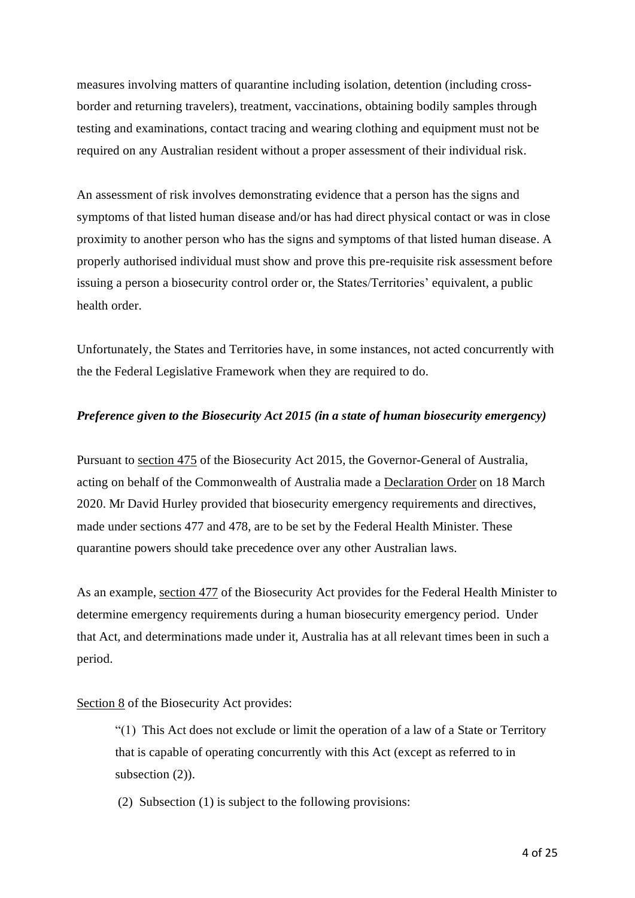measures involving matters of quarantine including isolation, detention (including crossborder and returning travelers), treatment, vaccinations, obtaining bodily samples through testing and examinations, contact tracing and wearing clothing and equipment must not be required on any Australian resident without a proper assessment of their individual risk.

An assessment of risk involves demonstrating evidence that a person has the signs and symptoms of that listed human disease and/or has had direct physical contact or was in close proximity to another person who has the signs and symptoms of that listed human disease. A properly authorised individual must show and prove this pre-requisite risk assessment before issuing a person a biosecurity control order or, the States/Territories' equivalent, a public health order.

Unfortunately, the States and Territories have, in some instances, not acted concurrently with the the Federal Legislative Framework when they are required to do.

### *Preference given to the Biosecurity Act 2015 (in a state of human biosecurity emergency)*

Pursuant to [section](http://classic.austlii.edu.au/au/legis/cth/consol_act/ba2015156/s475.html) 475 of the Biosecurity Act 2015, the Governor-General of Australia, acting on behalf of the Commonwealth of Australia made a [Declaration](https://www.aph.gov.au/About_Parliament/Parliamentary_Departments/Parliamentary_Library/FlagPost/2020/March/COVID-19_Biosecurity_Emergency_Declaration) Order on 18 March 2020. Mr David Hurley provided that biosecurity emergency requirements and directives, made under sections 477 and 478, are to be set by the Federal Health Minister. These quarantine powers should take precedence over any other Australian laws.

As an example, [section](http://classic.austlii.edu.au/au/legis/cth/consol_act/ba2015156/s477.html) 477 of the Biosecurity Act provides for the Federal Health Minister to determine emergency requirements during a human biosecurity emergency period. Under that Act, and determinations made under it, Australia has at all relevant times been in such a period.

### [Section](http://classic.austlii.edu.au/au/legis/cth/consol_act/ba2015156/s8.html) 8 of the Biosecurity Act provides:

"(1) This Act does not exclude or limit the operation of a law of a State or Territory that is capable of operating concurrently with this Act (except as referred to in subsection  $(2)$ ).

(2) Subsection (1) is subject to the following provisions: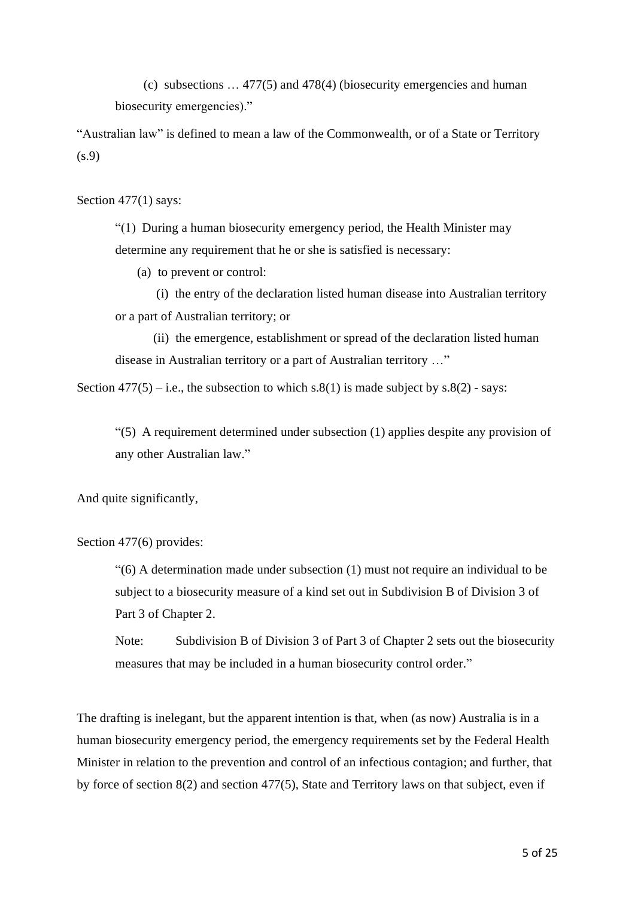(c) subsections … 477(5) and 478(4) (biosecurity emergencies and human biosecurity emergencies)."

"Australian law" is defined to mean a law of the Commonwealth, or of a State or Territory (s.9)

Section 477(1) says:

"(1) During a human biosecurity emergency period, the Health Minister may determine any requirement that he or she is satisfied is necessary:

(a) to prevent or control:

 (i) the entry of the declaration listed human disease into Australian territory or a part of Australian territory; or

 (ii) the emergence, establishment or spread of the declaration listed human disease in Australian territory or a part of Australian territory …"

Section  $477(5) - i.e.,$  the subsection to which s.8(1) is made subject by s.8(2) - says:

"(5) A requirement determined under [subsection](http://classic.austlii.edu.au/au/legis/cth/consol_act/ba2015156/s530.html#subsection) (1) applies despite any provision of any other Australian law."

And quite significantly,

Section 477(6) provides:

"(6) A determination made under subsection (1) must not require an individual to be subject to a biosecurity measure of a kind set out in Subdivision B of Division 3 of Part 3 of Chapter 2.

Note: Subdivision B of Division 3 of Part 3 of Chapter 2 sets out the biosecurity measures that may be included in a human biosecurity control order."

The drafting is inelegant, but the apparent intention is that, when (as now) Australia is in a human biosecurity emergency period, the emergency requirements set by the Federal Health Minister in relation to the prevention and control of an infectious contagion; and further, that by force of section 8(2) and section 477(5), State and Territory laws on that subject, even if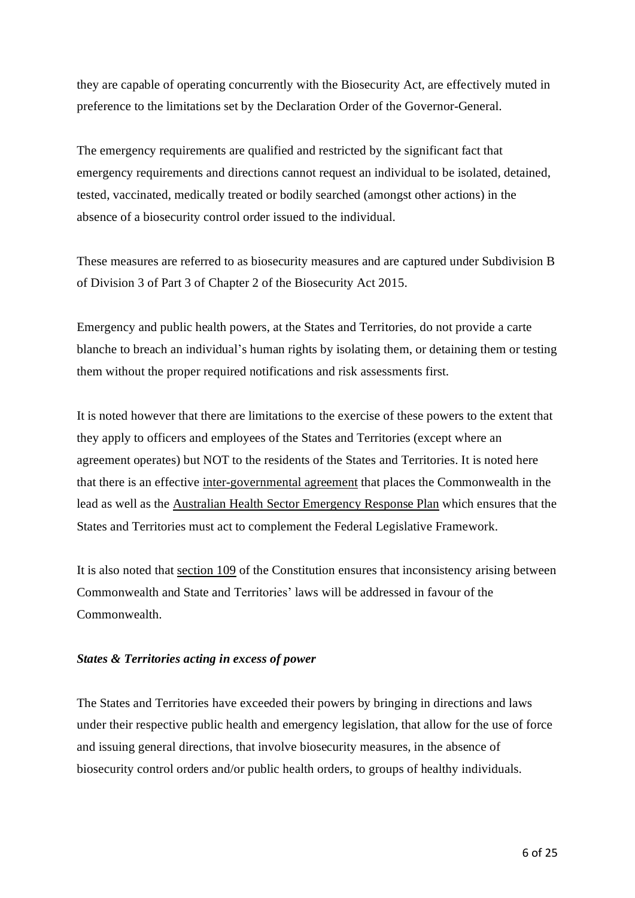they are capable of operating concurrently with the Biosecurity Act, are effectively muted in preference to the limitations set by the Declaration Order of the Governor-General.

The emergency requirements are qualified and restricted by the significant fact that emergency requirements and directions cannot request an individual to be isolated, detained, tested, vaccinated, medically treated or bodily searched (amongst other actions) in the absence of a biosecurity control order issued to the individual.

These measures are referred to as biosecurity measures and are captured under Subdivision B of Division 3 of Part 3 of Chapter 2 of the Biosecurity Act 2015.

Emergency and public health powers, at the States and Territories, do not provide a carte blanche to breach an individual's human rights by isolating them, or detaining them or testing them without the proper required notifications and risk assessments first.

It is noted however that there are limitations to the exercise of these powers to the extent that they apply to officers and employees of the States and Territories (except where an agreement operates) but NOT to the residents of the States and Territories. It is noted here that there is an effective [inter-governmental](https://www.coag.gov.au/sites/default/files/communique/COVID-19%20National%20Partnership%20Agreement%20Updated%20April%202020.pdf) agreement that places the Commonwealth in the lead as well as the Australian Health Sector [Emergency](https://www.health.gov.au/sites/default/files/documents/2020/02/australian-health-sector-emergency-response-plan-for-novel-coronavirus-covid-19_2.pdf) Response Plan which ensures that the States and Territories must act to complement the Federal Legislative Framework.

It is also noted that [section](http://www7.austlii.edu.au/cgi-bin/viewdoc/au/legis/cth/consol_act/coaca430/s109.html) 109 of the Constitution ensures that inconsistency arising between Commonwealth and State and Territories' laws will be addressed in favour of the Commonwealth.

# *States & Territories acting in excess of power*

The States and Territories have exceeded their powers by bringing in directions and laws under their respective public health and emergency legislation, that allow for the use of force and issuing general directions, that involve biosecurity measures, in the absence of biosecurity control orders and/or public health orders, to groups of healthy individuals.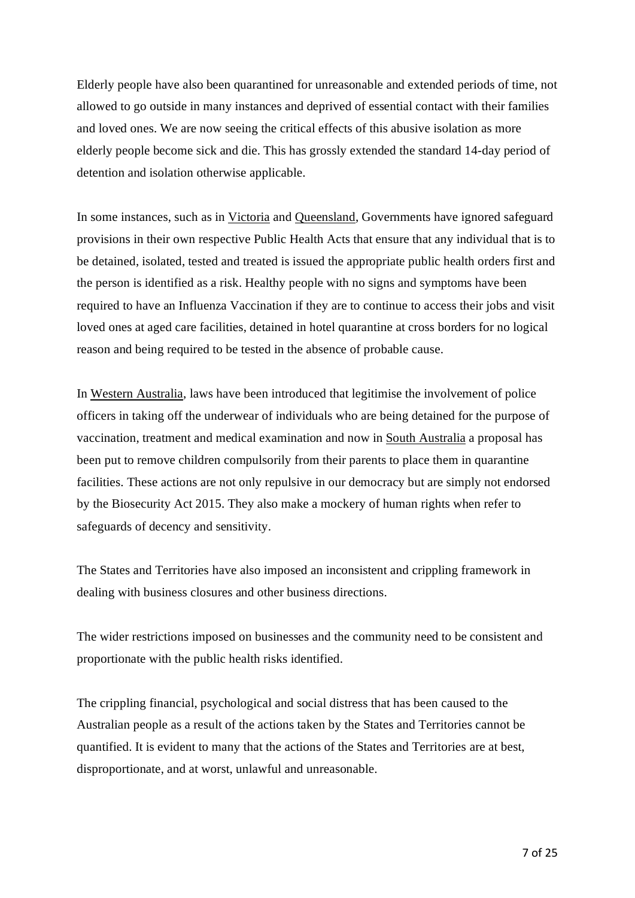Elderly people have also been quarantined for unreasonable and extended periods of time, not allowed to go outside in many instances and deprived of essential contact with their families and loved ones. We are now seeing the critical effects of this abusive isolation as more elderly people become sick and die. This has grossly extended the standard 14-day period of detention and isolation otherwise applicable.

In some instances, such as in [Victoria](https://www.legislation.vic.gov.au/in-force/acts/public-health-and-wellbeing-act-2008/043) and [Queensland,](https://www.legislation.qld.gov.au/view/whole/html/inforce/current/act-2005-048) Governments have ignored safeguard provisions in their own respective Public Health Acts that ensure that any individual that is to be detained, isolated, tested and treated is issued the appropriate public health orders first and the person is identified as a risk. Healthy people with no signs and symptoms have been required to have an Influenza Vaccination if they are to continue to access their jobs and visit loved ones at aged care facilities, detained in hotel quarantine at cross borders for no logical reason and being required to be tested in the absence of probable cause.

In Western [Australia,](https://www.legislation.wa.gov.au/legislation/prod/filestore.nsf/FileURL/mrdoc_42242.pdf/$FILE/Public%20Health%20Act%202016%20-%20%5B00-i0-03%5D.pdf?OpenElement) laws have been introduced that legitimise the involvement of police officers in taking off the underwear of individuals who are being detained for the purpose of vaccination, treatment and medical examination and now in South [Australia](https://www.legislation.sa.gov.au/LZ/C/A/COVID-19%20EMERGENCY%20RESPONSE%20ACT%202020/CURRENT/2020.7.AUTH.PDF) a proposal has been put to remove children compulsorily from their parents to place them in quarantine facilities. These actions are not only repulsive in our democracy but are simply not endorsed by the Biosecurity Act 2015. They also make a mockery of human rights when refer to safeguards of decency and sensitivity.

The States and Territories have also imposed an inconsistent and crippling framework in dealing with business closures and other business directions.

The wider restrictions imposed on businesses and the community need to be consistent and proportionate with the public health risks identified.

The crippling financial, psychological and social distress that has been caused to the Australian people as a result of the actions taken by the States and Territories cannot be quantified. It is evident to many that the actions of the States and Territories are at best, disproportionate, and at worst, unlawful and unreasonable.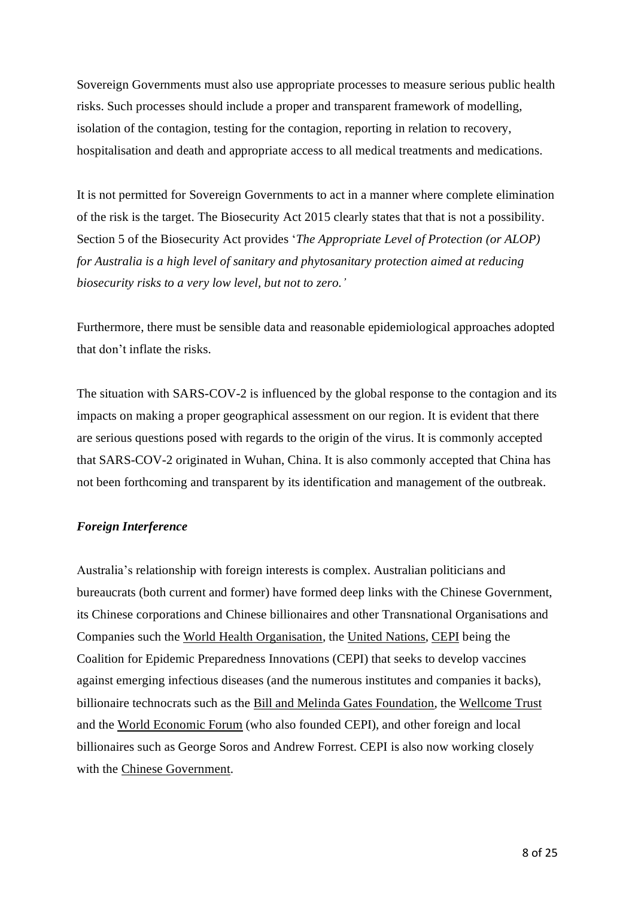Sovereign Governments must also use appropriate processes to measure serious public health risks. Such processes should include a proper and transparent framework of modelling, isolation of the contagion, testing for the contagion, reporting in relation to recovery, hospitalisation and death and appropriate access to all medical treatments and medications.

It is not permitted for Sovereign Governments to act in a manner where complete elimination of the risk is the target. The Biosecurity Act 2015 clearly states that that is not a possibility. Section 5 of the Biosecurity Act provides '*The Appropriate Level of Protection (or ALOP) for Australia is a high level of sanitary and phytosanitary protection aimed at reducing biosecurity risks to a very low level, but not to zero.'*

Furthermore, there must be sensible data and reasonable epidemiological approaches adopted that don't inflate the risks.

The situation with SARS-COV-2 is influenced by the global response to the contagion and its impacts on making a proper geographical assessment on our region. It is evident that there are serious questions posed with regards to the origin of the virus. It is commonly accepted that SARS-COV-2 originated in Wuhan, China. It is also commonly accepted that China has not been forthcoming and transparent by its identification and management of the outbreak.

### *Foreign Interference*

Australia's relationship with foreign interests is complex. Australian politicians and bureaucrats (both current and former) have formed deep links with the Chinese Government, its Chinese corporations and Chinese billionaires and other Transnational Organisations and Companies such the World Health [Organisation,](https://www.who.int/%5d,) the United [Nations,](https://www.un.org/en/) [CEPI](https://cepi.net/) being the Coalition for Epidemic Preparedness Innovations (CEPI) that seeks to develop vaccines against emerging infectious diseases (and the numerous institutes and companies it backs), billionaire technocrats such as the Bill and Melinda Gates [Foundation,](https://www.gatesfoundation.org/,) the [Wellcome](https://wellcome.ac.uk/) Trust and the World [Economic](https://www.weforum.org/) Forum (who also founded CEPI), and other foreign and local billionaires such as George Soros and Andrew Forrest. CEPI is also now working closely with the Chinese [Government.](https://cepi.net/news_cepi/cepi-establishes-representative-office-in-shanghai-china/)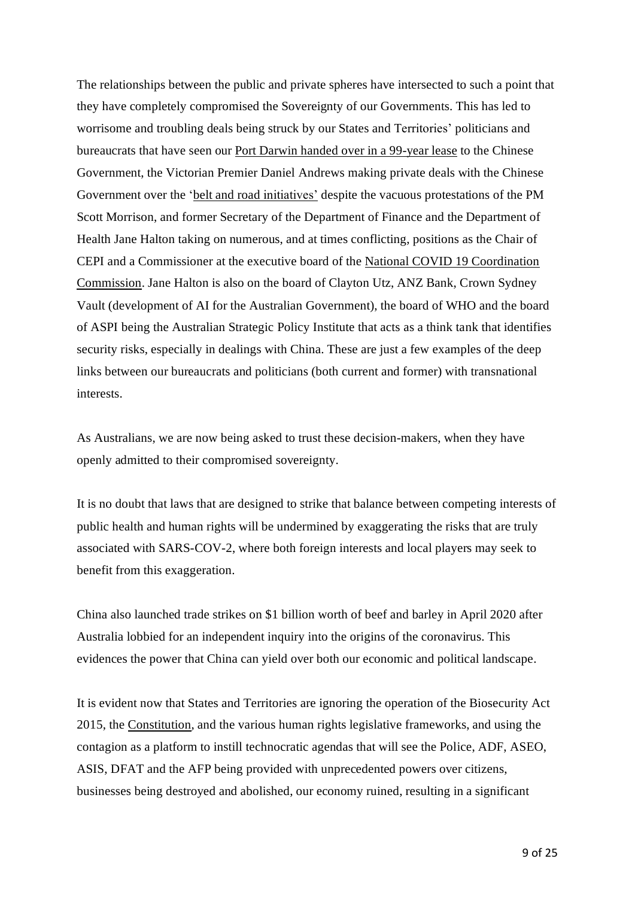The relationships between the public and private spheres have intersected to such a point that they have completely compromised the Sovereignty of our Governments. This has led to worrisome and troubling deals being struck by our States and Territories' politicians and bureaucrats that have seen our Port Darwin handed over in a [99-year](https://www.abc.net.au/news/2019-03-12/why-did-northern-territory-sell-darwin-port-to-china-what-risk/10755720) lease to the Chinese Government, the Victorian Premier Daniel Andrews making private deals with the Chinese Government over the 'belt and road [initiatives'](https://www.theage.com.au/politics/federal/inconsistent-with-foreign-policy-morrison-urges-victoria-to-scrap-bri-deal-20200611-p551k7.html) despite the vacuous protestations of the PM Scott Morrison, and former Secretary of the Department of Finance and the Department of Health Jane Halton taking on numerous, and at times conflicting, positions as the Chair of CEPI and a Commissioner at the executive board of the National COVID 19 [Coordination](https://pmc.gov.au/ncc/who-we-are) [Commission.](https://pmc.gov.au/ncc/who-we-are) Jane Halton is also on the board of Clayton Utz, ANZ Bank, Crown Sydney Vault (development of AI for the Australian Government), the board of WHO and the board of ASPI being the Australian Strategic Policy Institute that acts as a think tank that identifies security risks, especially in dealings with China. These are just a few examples of the deep links between our bureaucrats and politicians (both current and former) with transnational interests.

As Australians, we are now being asked to trust these decision-makers, when they have openly admitted to their compromised sovereignty.

It is no doubt that laws that are designed to strike that balance between competing interests of public health and human rights will be undermined by exaggerating the risks that are truly associated with SARS-COV-2, where both foreign interests and local players may seek to benefit from this exaggeration.

China also launched trade strikes on \$1 billion worth of [beef](https://www.smh.com.au/link/follow-20170101-p54s4k) and [barley](https://www.smh.com.au/link/follow-20170101-p54uf7) in April 2020 after Australia lobbied for an independent inquiry into the origins of the coronavirus. This evidences the power that China can yield over both our economic and political landscape.

It is evident now that States and Territories are ignoring the operation of the Biosecurity Act 2015, the [Constitution,](https://www.legislation.gov.au/Details/C2005Q00193) and the various human rights legislative frameworks, and using the contagion as a platform to instill technocratic agendas that will see the Police, ADF, ASEO, ASIS, DFAT and the AFP being provided with unprecedented powers over citizens, businesses being destroyed and abolished, our economy ruined, resulting in a significant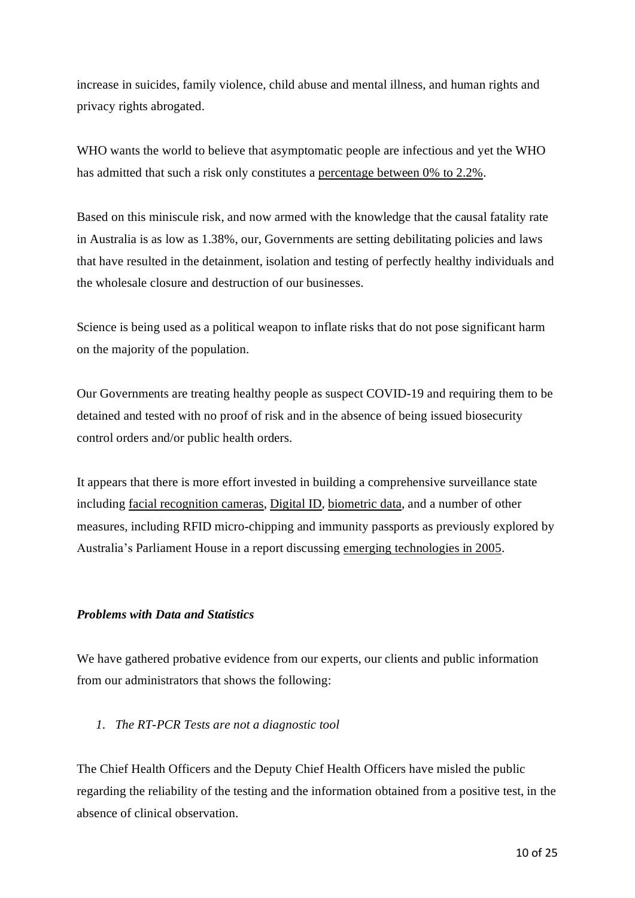increase in suicides, family violence, child abuse and mental illness, and human rights and privacy rights abrogated.

WHO wants the world to believe that asymptomatic people are infectious and yet the WHO has admitted that such a risk only constitutes a [percentage](https://www.who.int/news-room/commentaries/detail/transmission-of-sars-cov-2-implications-for-infection-prevention-precautions) between 0% to 2.2%.

Based on this miniscule risk, and now armed with the knowledge that the causal fatality rate in Australia is as low as 1.38%, our, Governments are setting debilitating policies and laws that have resulted in the detainment, isolation and testing of perfectly healthy individuals and the wholesale closure and destruction of our businesses.

Science is being used as a political weapon to inflate risks that do not pose significant harm on the majority of the population.

Our Governments are treating healthy people as suspect COVID-19 and requiring them to be detained and tested with no proof of risk and in the absence of being issued biosecurity control orders and/or public health orders.

It appears that there is more effort invested in building a comprehensive surveillance state including facial [recognition](https://www.abc.net.au/news/2020-06-17/facial-surveillance-slowly-being-trialled-around-the-country/12308282) cameras, [Digital](https://www.itnews.com.au/news/australias-digital-identity-bill-tops-200m-535700) ID, [biometric](https://www.biometricupdate.com/202003/australia-to-roll-out-digital-ids-biometric-features-for-public-testing-in-2020) data, and a number of other measures, including RFID micro-chipping and immunity passports as previously explored by Australia's Parliament House in a report discussing emerging [technologies](https://www.aph.gov.au/parliamentary_business/committees/senate/legal_and_constitutional_affairs/completed_inquiries/2004-07/privacy/report/c03) in 2005.

# *Problems with Data and Statistics*

We have gathered probative evidence from our experts, our clients and public information from our administrators that shows the following:

# *1. The RT-PCR Tests are not a diagnostic tool*

The Chief Health Officers and the Deputy Chief Health Officers have misled the public regarding the reliability of the testing and the information obtained from a positive test, in the absence of clinical observation.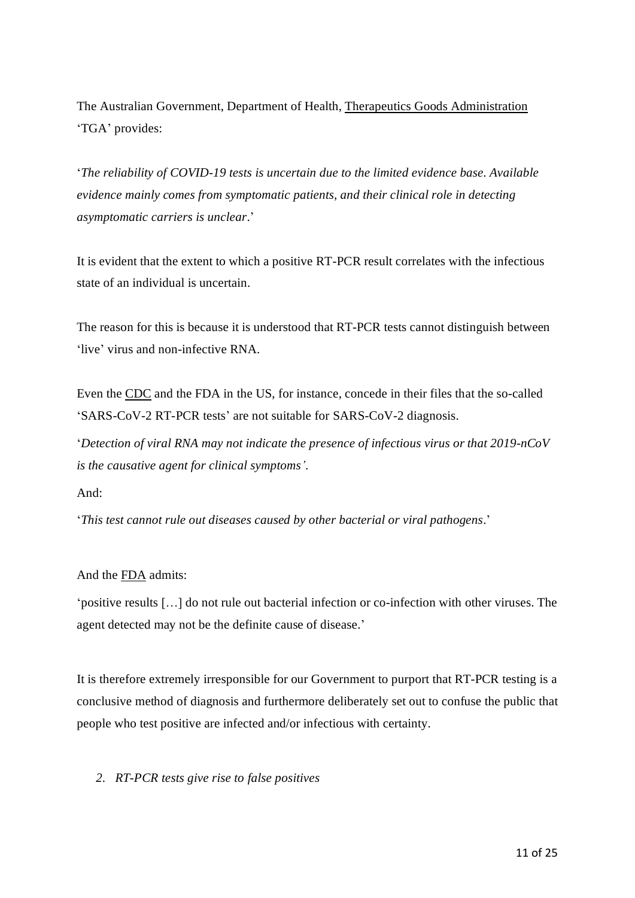The Australian Government, Department of Health, Therapeutics Goods [Administration](https://www.tga.gov.au/covid-19-testing-australia-information-health-professionals) 'TGA' provides:

'*The reliability of COVID-19 tests is uncertain due to the limited evidence base. Available evidence mainly comes from symptomatic patients, and their clinical role in detecting asymptomatic carriers is unclear*.'

It is evident that the extent to which a positive RT-PCR result correlates with the infectious state of an individual is uncertain.

The reason for this is because it is understood that RT-PCR tests cannot distinguish between 'live' virus and non-infective RNA.

Even the [CDC](https://www.fda.gov/media/134922/download) and the FDA in the US, for instance, concede in their files that the so-called 'SARS-CoV-2 RT-PCR tests' are not suitable for SARS-CoV-2 diagnosis.

'*Detection of viral RNA may not indicate the presence of infectious virus or that 2019-nCoV is the causative agent for clinical symptoms'*.

And:

'*This test cannot rule out diseases caused by other bacterial or viral pathogens*.'

# And the [FDA](https://www.fda.gov/media/136151/download) admits:

'positive results […] do not rule out bacterial infection or co-infection with other viruses. The agent detected may not be the definite cause of disease.'

It is therefore extremely irresponsible for our Government to purport that RT-PCR testing is a conclusive method of diagnosis and furthermore deliberately set out to confuse the public that people who test positive are infected and/or infectious with certainty.

# *2. RT-PCR tests give rise to false positives*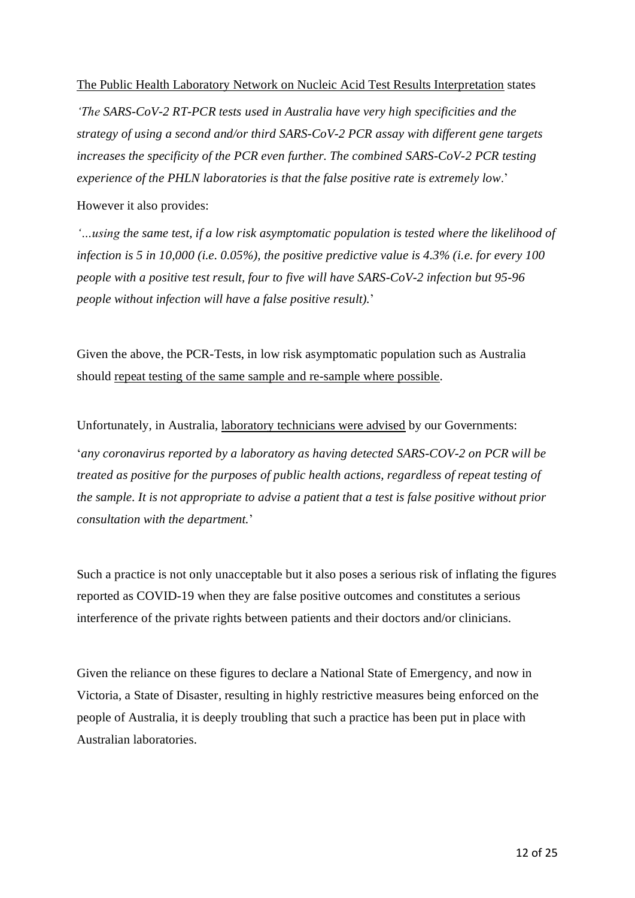### The Public Health Laboratory Network on Nucleic Acid Test Results [Interpretation](https://www.health.gov.au/sites/default/files/documents/2020/07/phln-guidance-on-nucleic-acid-test-result-interpretation-for-sars-cov-2-phln-statement-on-nucleic-acid-test-false-positive-results-for-sars-cov-2.pdf) states

*'The SARS-CoV-2 RT-PCR tests used in Australia have very high specificities and the strategy of using a second and/or third SARS-CoV-2 PCR assay with different gene targets increases the specificity of the PCR even further. The combined SARS-CoV-2 PCR testing experience of the PHLN laboratories is that the false positive rate is extremely low*.'

However it also provides:

*'…using the same test, if a low risk asymptomatic population is tested where the likelihood of infection is 5 in 10,000 (i.e. 0.05%), the positive predictive value is 4.3% (i.e. for every 100 people with a positive test result, four to five will have SARS-CoV-2 infection but 95-96 people without infection will have a false positive result).*'

Given the above, the PCR-Tests, in low risk asymptomatic population such as Australia should repeat testing of the same sample and [re-sample](https://www.health.gov.au/sites/default/files/documents/2020/06/phln-statement-on-nucleic-acid-test-false-positive-results-for-sars-cov-2.pdf) where possible.

Unfortunately, in Australia, laboratory [technicians](https://www.gphn.org.au/health-alert-coronavirus-update-chief-health-officer-victoria-15-june-2020/) were advised by our Governments: '*any coronavirus reported by a laboratory as having detected SARS-COV-2 on PCR will be treated as positive for the purposes of public health actions, regardless of repeat testing of the sample. It is not appropriate to advise a patient that a test is false positive without prior consultation with the department.*'

Such a practice is not only unacceptable but it also poses a serious risk of inflating the figures reported as COVID-19 when they are false positive outcomes and constitutes a serious interference of the private rights between patients and their doctors and/or clinicians.

Given the reliance on these figures to declare a National State of Emergency, and now in Victoria, a State of Disaster, resulting in highly restrictive measures being enforced on the people of Australia, it is deeply troubling that such a practice has been put in place with Australian laboratories.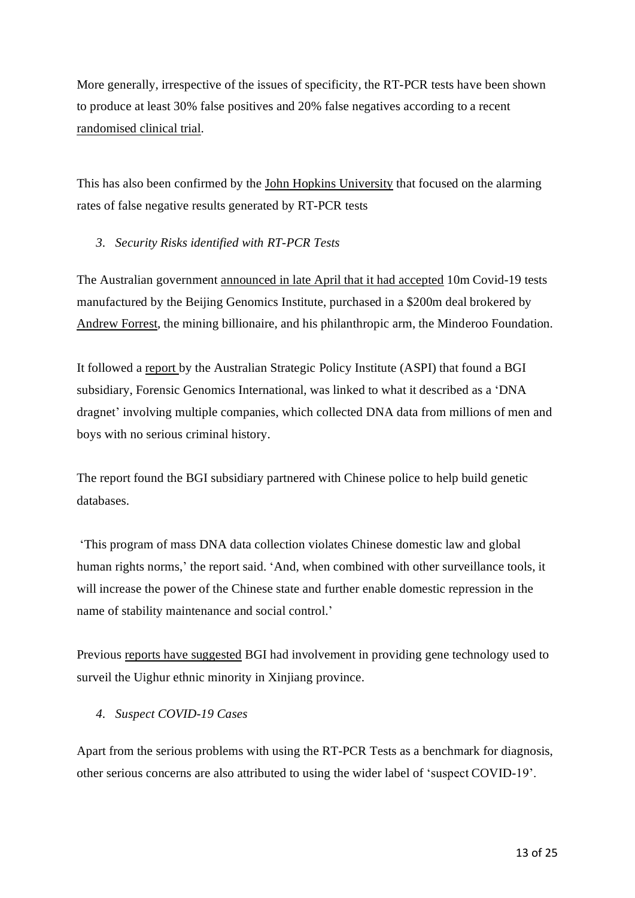More generally, irrespective of the issues of specificity, the RT-PCR tests have been shown to produce at least 30% false positives and 20% false negatives according to a recent [randomised](http://www.int-soc-clin-geriat.com/info/wp-content/uploads/2020/03/Dr.-Lees-paper-on-testing-for-SARS-CoV-2.pdf) clinical trial.

This has also been confirmed by the John Hopkins [University](https://www.acpjournals.org/doi/10.7326/M20-1495) that focused on the alarming rates of false negative results generated by RT-PCR tests

# *3. Security Risks identified with RT-PCR Tests*

The Australian government [announced](https://www.health.gov.au/ministers/the-hon-greg-hunt-mp/media/ground-breaking-partnership-delivers-10-million-covid-19-tests-and-equipment) in late April that it had accepted 10m Covid-19 tests manufactured by the Beijing Genomics Institute, purchased in a \$200m deal brokered by [Andrew](https://www.theguardian.com/australia-news/2020/jul/09/australian-experts-raise-security-concerns-about-chinese-maker-of-andrew-forrest-covid-19-tests) Forrest, the mining billionaire, and his philanthropic arm, the Minderoo Foundation.

It followed a [report](https://www.aspi.org.au/report/genomic-surveillance) by the Australian Strategic Policy Institute (ASPI) that found a BGI subsidiary, Forensic Genomics International, was linked to what it described as a 'DNA dragnet' involving multiple companies, which collected DNA data from millions of men and boys with no serious criminal history.

The report found the BGI subsidiary partnered with Chinese police to help build genetic databases.

'This program of mass DNA data collection violates Chinese domestic law and global human rights norms,' the report said. 'And, when combined with other surveillance tools, it will increase the power of the Chinese state and further enable domestic repression in the name of stability maintenance and social control.'

Previous reports have [suggested](https://www.reuters.com/article/health-coronavirus-australia-china-int/chinas-bgi-gets-australian-foothold-through-mass-coronavirus-test-delivery-idUSKBN22I0VG) BGI had involvement in providing gene technology used to surveil the Uighur ethnic minority in Xinjiang province.

# *4. Suspect COVID-19 Cases*

Apart from the serious problems with using the RT-PCR Tests as a benchmark for diagnosis, other serious concerns are also attributed to using the wider label of 'suspect COVID-19'.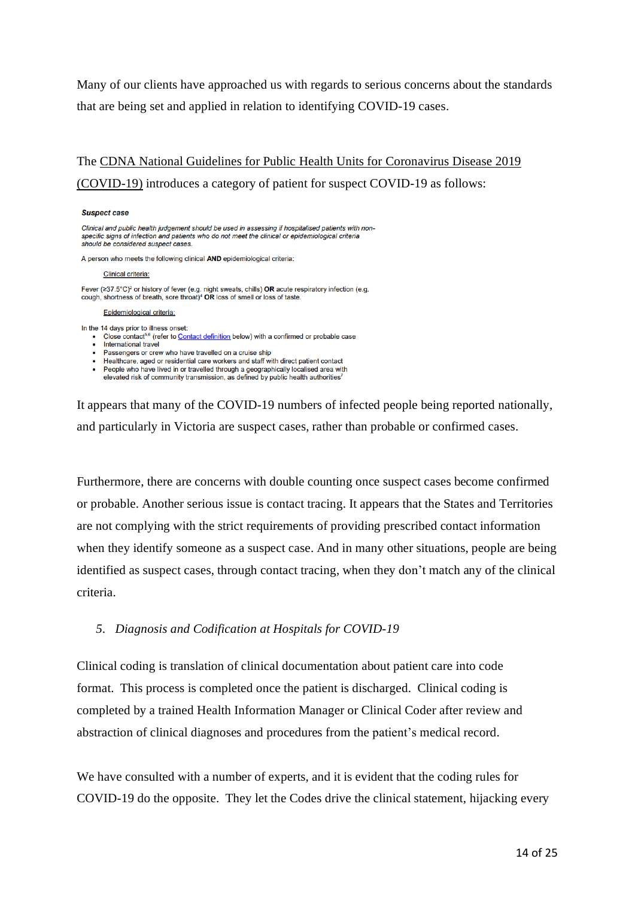Many of our clients have approached us with regards to serious concerns about the standards that are being set and applied in relation to identifying COVID-19 cases.

# The CDNA National Guidelines for Public Health Units for [Coronavirus](https://www.health.gov.au/sites/default/files/documents/2020/08/cdna-guidelines-for-the-prevention-control-and-public-health-management-of-covid-19-outbreaks-in-correctional-and-detention-facilities-in-australia.pdf) Disease 2019 [\(COVID-19\)](https://www.health.gov.au/sites/default/files/documents/2020/08/cdna-guidelines-for-the-prevention-control-and-public-health-management-of-covid-19-outbreaks-in-correctional-and-detention-facilities-in-australia.pdf) introduces a category of patient for suspect COVID-19 as follows:

#### **Suspect case**

Clinical and public health judgement should be used in assessing if hospitalised patients with nonspecific signs of infection and patients who do not meet the clinical or epidemiological criteria should be considered suspect cases.

A person who meets the following clinical AND epidemiological criteria:

#### **Clinical criteria:**

Fever (≥37.5°C)<sup>2</sup> or history of fever (e.g. night sweats, chills) OR acute respiratory infection (e.g. cough, shortness of breath, sore throat)<sup>4</sup> OR loss of smell or loss of taste.

#### Epidemiological criteria:

In the 14 days prior to illness onset:

- Close contact<sup>5,6</sup> (refer to Contact definition below) with a confirmed or probable case
- International travel
- Passengers or crew who have travelled on a cruise ship
- Healthcare, aged or residential care workers and staff with direct patient contact
- People who have lived in or travelled through a geographically localised area with
- elevated risk of community transmission, as defined by public health authorities<sup>7</sup>

It appears that many of the COVID-19 numbers of infected people being reported nationally, and particularly in Victoria are suspect cases, rather than probable or confirmed cases.

Furthermore, there are concerns with double counting once suspect cases become confirmed or probable. Another serious issue is contact tracing. It appears that the States and Territories are not complying with the strict requirements of providing prescribed contact information when they identify someone as a suspect case. And in many other situations, people are being identified as suspect cases, through contact tracing, when they don't match any of the clinical criteria.

### *5. Diagnosis and Codification at Hospitals for COVID-19*

Clinical coding is translation of clinical documentation about patient care into code format. This process is completed once the patient is discharged. Clinical coding is completed by a trained Health Information Manager or Clinical Coder after review and abstraction of clinical diagnoses and procedures from the patient's medical record.

We have consulted with a number of experts, and it is evident that the coding rules for COVID-19 do the opposite. They let the Codes drive the clinical statement, hijacking every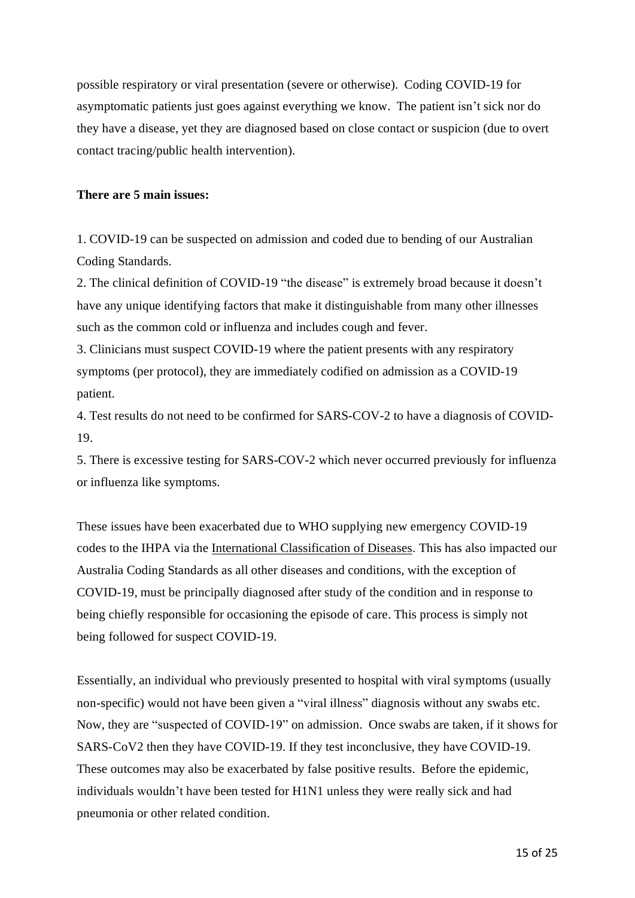possible respiratory or viral presentation (severe or otherwise). Coding COVID-19 for asymptomatic patients just goes against everything we know. The patient isn't sick nor do they have a disease, yet they are diagnosed based on close contact or suspicion (due to overt contact tracing/public health intervention).

# **There are 5 main issues:**

1. COVID-19 can be suspected on admission and coded due to bending of our Australian Coding Standards.

2. The clinical definition of COVID-19 "the disease" is extremely broad because it doesn't have any unique identifying factors that make it distinguishable from many other illnesses such as the common cold or influenza and includes cough and fever.

3. Clinicians must suspect COVID-19 where the patient presents with any respiratory symptoms (per protocol), they are immediately codified on admission as a COVID-19 patient.

4. Test results do not need to be confirmed for SARS-COV-2 to have a diagnosis of COVID-19.

5. There is excessive testing for SARS-COV-2 which never occurred previously for influenza or influenza like symptoms.

These issues have been exacerbated due to WHO supplying new emergency COVID-19 codes to the IHPA via the International [Classification](https://www.ihpa.gov.au/what-we-do/how-to-classify-covid-19) of Diseases. This has also impacted our Australia Coding Standards as all other diseases and conditions, with the exception of COVID-19, must be principally diagnosed after study of the condition and in response to being chiefly responsible for occasioning the episode of care. This process is simply not being followed for suspect COVID-19.

Essentially, an individual who previously presented to hospital with viral symptoms (usually non-specific) would not have been given a "viral illness" diagnosis without any swabs etc. Now, they are "suspected of COVID-19" on admission. Once swabs are taken, if it shows for SARS-CoV2 then they have COVID-19. If they test inconclusive, they have COVID-19. These outcomes may also be exacerbated by false positive results. Before the epidemic, individuals wouldn't have been tested for H1N1 unless they were really sick and had pneumonia or other related condition.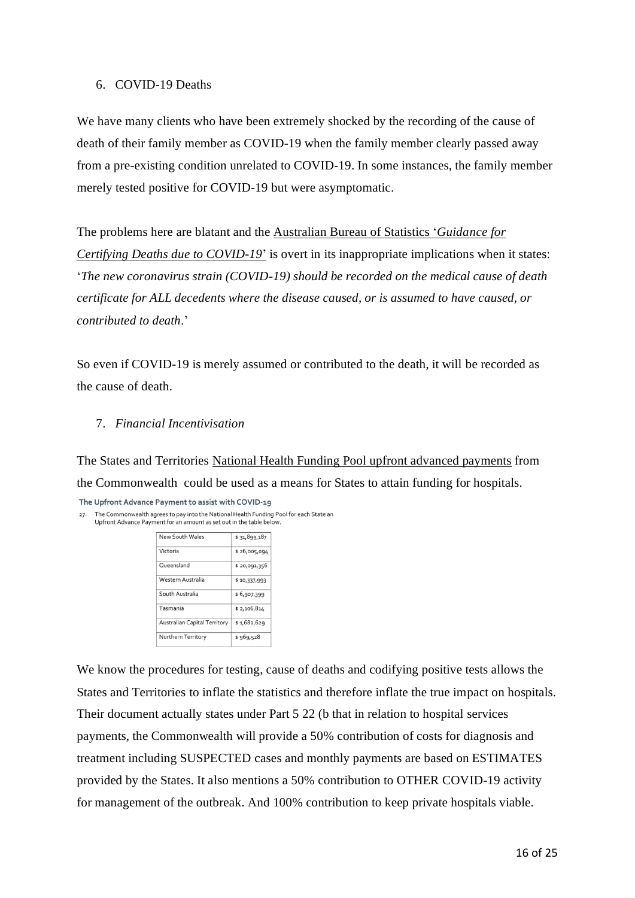### 6. COVID-19 Deaths

We have many clients who have been extremely shocked by the recording of the cause of death of their family member as COVID-19 when the family member clearly passed away from a pre-existing condition unrelated to COVID-19. In some instances, the family member merely tested positive for COVID-19 but were asymptomatic.

The problems here are blatant and the [Australian](https://www.abs.gov.au/ausstats/abs@.nsf/mf/1205.0.55.001) Bureau of Statistics '*Guidance for Certifying Deaths due to [COVID-19](https://www.abs.gov.au/ausstats/abs@.nsf/mf/1205.0.55.001)*' is overt in its inappropriate implications when it states: '*The new coronavirus strain (COVID-19) should be recorded on the medical cause of death certificate for ALL decedents where the disease caused, or is assumed to have caused, or contributed to death*.'

So even if COVID-19 is merely assumed or contributed to the death, it will be recorded as the cause of death.

# 7. *Financial Incentivisation*

The States and Territories National Health Funding Pool upfront advanced [payments](http://www.federalfinancialrelations.gov.au/content/npa/health/national-partnership/covid19-npa.pdf) from the Commonwealth could be used as a means for States to attain funding for hospitals.

The Upfront Advance Payment to assist with COVID-19

27. The Commonwealth agrees to pay into the National Health Funding Pool for each State an Upfront Advance Payment for an amount as set out in the table below.

| New South Wales                     | \$31,899,187 |
|-------------------------------------|--------------|
| Victoria                            | \$26,005,094 |
| Queensland                          | \$20,091,356 |
| Western Australia                   | \$10,337,993 |
| South Australia                     | \$6,907,399  |
| Tasmania                            | \$2,106,814  |
| <b>Australian Capital Territory</b> | \$1,682,629  |
| Northern Territory                  | \$969,528    |
|                                     |              |

We know the procedures for testing, cause of deaths and codifying positive tests allows the States and Territories to inflate the statistics and therefore inflate the true impact on hospitals. Their document actually states under Part 5 22 (b that in relation to hospital services payments, the Commonwealth will provide a 50% contribution of costs for diagnosis and treatment including SUSPECTED cases and monthly payments are based on ESTIMATES provided by the States. It also mentions a 50% contribution to OTHER COVID-19 activity for management of the outbreak. And 100% contribution to keep private hospitals viable.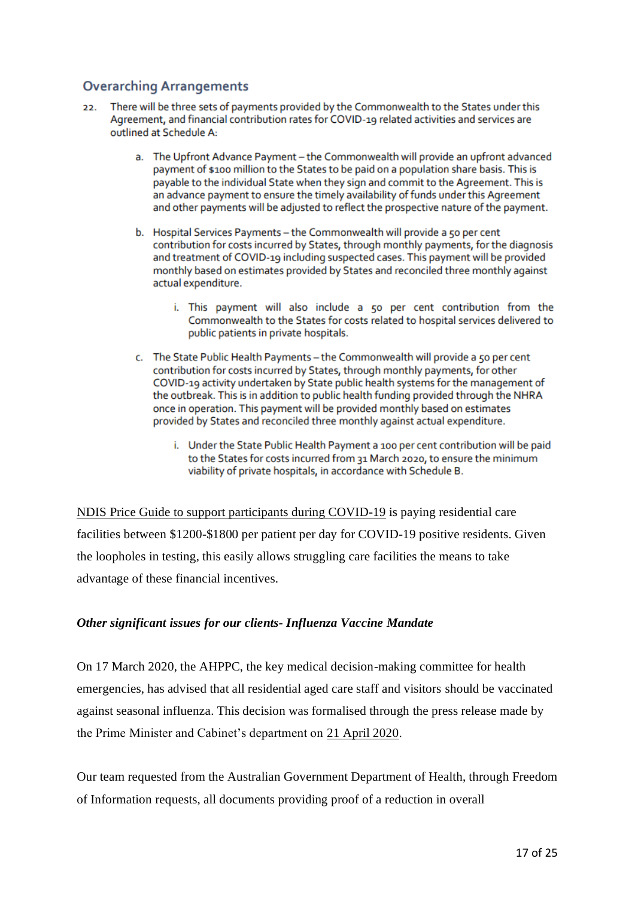# **Overarching Arrangements**

- There will be three sets of payments provided by the Commonwealth to the States under this 22. Agreement, and financial contribution rates for COVID-19 related activities and services are outlined at Schedule A:
	- a. The Upfront Advance Payment the Commonwealth will provide an upfront advanced payment of \$100 million to the States to be paid on a population share basis. This is payable to the individual State when they sign and commit to the Agreement. This is an advance payment to ensure the timely availability of funds under this Agreement and other payments will be adjusted to reflect the prospective nature of the payment.
	- b. Hospital Services Payments the Commonwealth will provide a 50 per cent contribution for costs incurred by States, through monthly payments, for the diagnosis and treatment of COVID-19 including suspected cases. This payment will be provided monthly based on estimates provided by States and reconciled three monthly against actual expenditure.
		- i. This payment will also include a 50 per cent contribution from the Commonwealth to the States for costs related to hospital services delivered to public patients in private hospitals.
	- c. The State Public Health Payments the Commonwealth will provide a 50 per cent contribution for costs incurred by States, through monthly payments, for other COVID-19 activity undertaken by State public health systems for the management of the outbreak. This is in addition to public health funding provided through the NHRA once in operation. This payment will be provided monthly based on estimates provided by States and reconciled three monthly against actual expenditure.
		- i. Under the State Public Health Payment a 100 per cent contribution will be paid to the States for costs incurred from 31 March 2020, to ensure the minimum viability of private hospitals, in accordance with Schedule B.

NDIS Price Guide to support [participants](https://www.ndis.gov.au/providers/price-guides-and-pricing) during COVID-19 is paying residential care facilities between \$1200-\$1800 per patient per day for COVID-19 positive residents. Given the loopholes in testing, this easily allows struggling care facilities the means to take advantage of these financial incentives.

# *Other significant issues for our clients- Influenza Vaccine Mandate*

On 17 March 2020, the AHPPC, the key medical decision-making committee for health emergencies, has advised that all residential aged care staff and visitors should be vaccinated against seasonal influenza. This decision was formalised through the press release made by the Prime Minister and Cabinet's department on [21 April 2020.](https://www.pm.gov.au/media/update-coronavirus-measures-210420.)

Our team requested from the Australian Government Department of Health, through Freedom of Information requests, all documents providing proof of a reduction in overall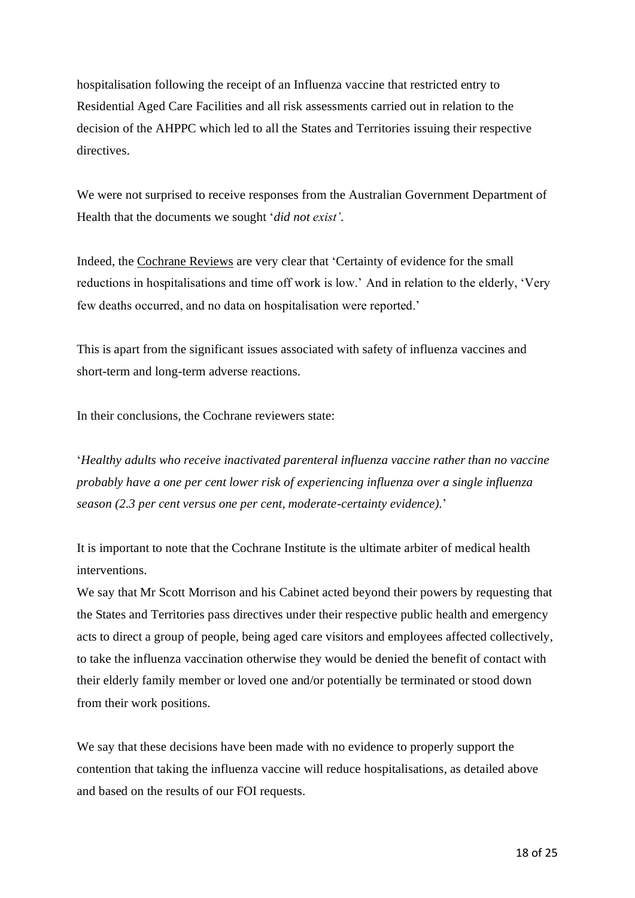hospitalisation following the receipt of an Influenza vaccine that restricted entry to Residential Aged Care Facilities and all risk assessments carried out in relation to the decision of the AHPPC which led to all the States and Territories issuing their respective directives.

We were not surprised to receive responses from the Australian Government Department of Health that the documents we sought '*did not exist'*.

Indeed, the [Cochrane](https://www.cochranelibrary.com/cdsr/doi/10.1002/14651858.CD004876.pub4/full) Reviews are very clear that 'Certainty of evidence for the small reductions in hospitalisations and time off work is low.' And in relation to the elderly, 'Very few deaths occurred, and no data on hospitalisation were reported.'

This is apart from the significant issues associated with safety of influenza vaccines and short-term and long-term adverse reactions.

In their conclusions, the Cochrane reviewers state:

'*Healthy adults who receive inactivated parenteral influenza vaccine rather than no vaccine probably have a one per cent lower risk of experiencing influenza over a single influenza season (2.3 per cent versus one per cent, moderate-certainty evidence).*'

It is important to note that the Cochrane Institute is the ultimate arbiter of medical health interventions.

We say that Mr Scott Morrison and his Cabinet acted beyond their powers by requesting that the States and Territories pass directives under their respective public health and emergency acts to direct a group of people, being aged care visitors and employees affected collectively, to take the influenza vaccination otherwise they would be denied the benefit of contact with their elderly family member or loved one and/or potentially be terminated or stood down from their work positions.

We say that these decisions have been made with no evidence to properly support the contention that taking the influenza vaccine will reduce hospitalisations, as detailed above and based on the results of our FOI requests.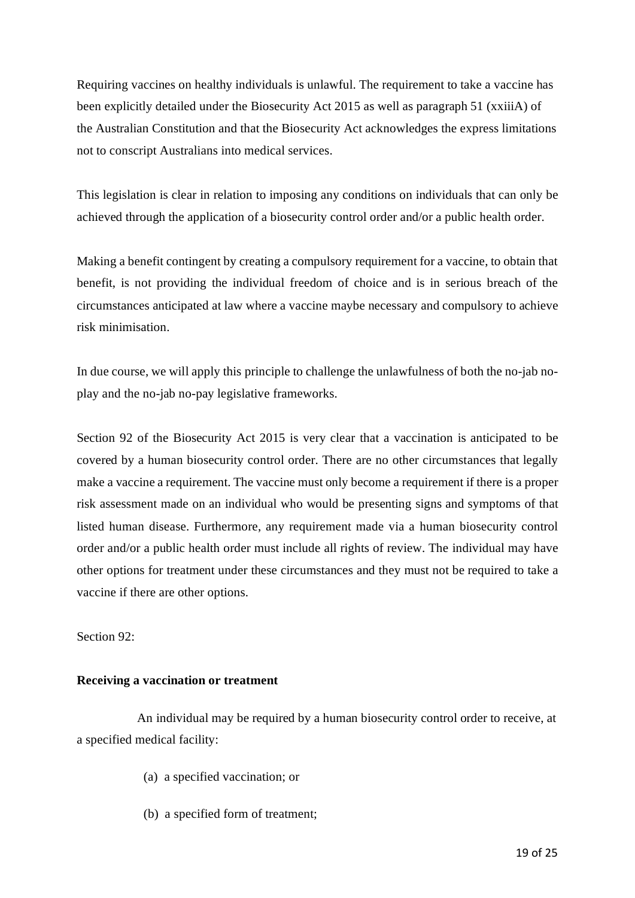Requiring vaccines on healthy individuals is unlawful. The requirement to take a vaccine has been explicitly detailed under the Biosecurity Act 2015 as well as paragraph 51 (xxiiiA) of the Australian Constitution and that the Biosecurity Act acknowledges the express limitations not to conscript Australians into medical services.

This legislation is clear in relation to imposing any conditions on individuals that can only be achieved through the application of a biosecurity control order and/or a public health order.

Making a benefit contingent by creating a compulsory requirement for a vaccine, to obtain that benefit, is not providing the individual freedom of choice and is in serious breach of the circumstances anticipated at law where a vaccine maybe necessary and compulsory to achieve risk minimisation.

In due course, we will apply this principle to challenge the unlawfulness of both the no-jab noplay and the no-jab no-pay legislative frameworks.

Section 92 of the Biosecurity Act 2015 is very clear that a vaccination is anticipated to be covered by a human biosecurity control order. There are no other circumstances that legally make a vaccine a requirement. The vaccine must only become a requirement if there is a proper risk assessment made on an individual who would be presenting signs and symptoms of that listed human disease. Furthermore, any requirement made via a human biosecurity control order and/or a public health order must include all rights of review. The individual may have other options for treatment under these circumstances and they must not be required to take a vaccine if there are other options.

Section 92:

# **Receiving a vaccination or treatment**

An individual may be required by a human biosecurity control order to receive, at a specified medical facility:

- (a) a specified vaccination; or
- (b) a specified form of treatment;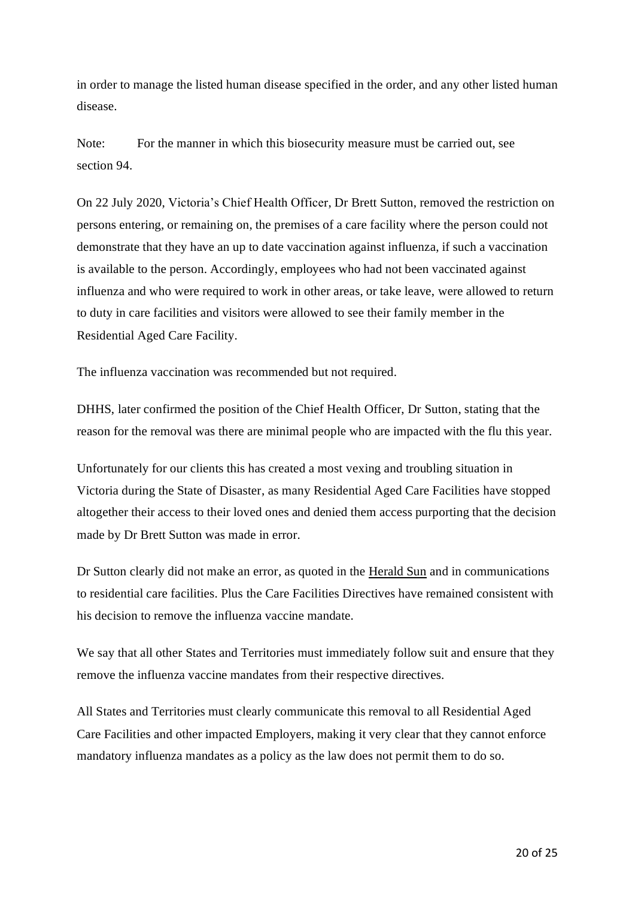in order to manage the listed human disease specified in the order, and any other listed human disease.

Note: For the manner in which this biosecurity measure must be carried out, see section 94.

On 22 July 2020, Victoria's Chief Health Officer, Dr Brett Sutton, removed the restriction on persons entering, or remaining on, the premises of a care facility where the person could not demonstrate that they have an up to date vaccination against influenza, if such a vaccination is available to the person. Accordingly, employees who had not been vaccinated against influenza and who were required to work in other areas, or take leave, were allowed to return to duty in care facilities and visitors were allowed to see their family member in the Residential Aged Care Facility.

The influenza vaccination was recommended but not required.

DHHS, later confirmed the position of the Chief Health Officer, Dr Sutton, stating that the reason for the removal was there are minimal people who are impacted with the flu this year.

Unfortunately for our clients this has created a most vexing and troubling situation in Victoria during the State of Disaster, as many Residential Aged Care Facilities have stopped altogether their access to their loved ones and denied them access purporting that the decision made by Dr Brett Sutton was made in error.

Dr Sutton clearly did not make an error, as quoted in the [Herald Sun](https://www.heraldsun.com.au/coronavirus/government-cut-mandatory-flu-shots-from-aged-care-emergency-orders-before-coronavirus-erupted/news-story/c020183ed0b8e34d79b35fef5a41a07c) and in communications to residential care facilities. Plus the Care Facilities Directives have remained consistent with his decision to remove the influenza vaccine mandate.

We say that all other States and Territories must immediately follow suit and ensure that they remove the influenza vaccine mandates from their respective directives.

All States and Territories must clearly communicate this removal to all Residential Aged Care Facilities and other impacted Employers, making it very clear that they cannot enforce mandatory influenza mandates as a policy as the law does not permit them to do so.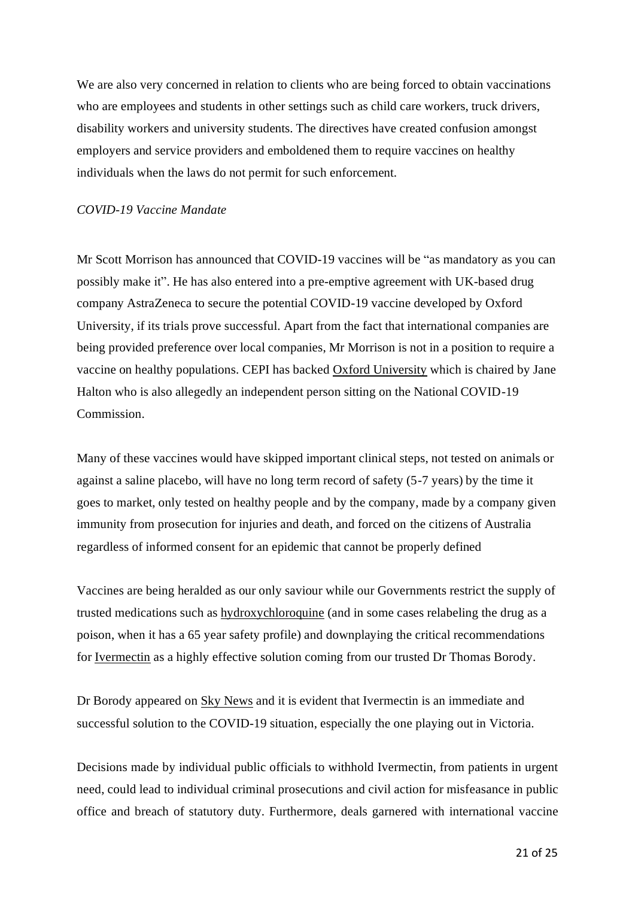We are also very concerned in relation to clients who are being forced to obtain vaccinations who are employees and students in other settings such as child care workers, truck drivers, disability workers and university students. The directives have created confusion amongst employers and service providers and emboldened them to require vaccines on healthy individuals when the laws do not permit for such enforcement.

### *COVID-19 Vaccine Mandate*

Mr Scott Morrison has announced that COVID-19 vaccines will be "as mandatory as you can possibly make it". He has also entered into a pre-emptive agreement with UK-based drug company AstraZeneca to secure the potential COVID-19 vaccine developed by Oxford University, if its trials prove successful. Apart from the fact that international companies are being provided preference over local companies, Mr Morrison is not in a position to require a vaccine on healthy populations. CEPI has backed [Oxford University](https://cepi.net/news_cepi/oxford-university-vaccine-against-covid-19-starts-clinical-tests/) which is chaired by Jane Halton who is also allegedly an independent person sitting on the National COVID-19 Commission.

Many of these vaccines would have skipped important clinical steps, not tested on animals or against a saline placebo, will have no long term record of safety (5-7 years) by the time it goes to market, only tested on healthy people and by the company, made by a company given immunity from prosecution for injuries and death, and forced on the citizens of Australia regardless of informed consent for an epidemic that cannot be properly defined

Vaccines are being heralded as our only saviour while our Governments restrict the supply of trusted medications such as [hydroxychloroquine](https://c19study.com/) (and in some cases relabeling the drug as a poison, when it has a 65 year safety profile) and downplaying the critical recommendations for [Ivermectin](https://www.sciencedirect.com/science/article/pii/S0166354220302011) as a highly effective solution coming from our trusted Dr Thomas Borody.

Dr Borody appeared on Sky [News](https://www.youtube.com/watch?v=6xklE0jTgaw) and it is evident that Ivermectin is an immediate and successful solution to the COVID-19 situation, especially the one playing out in Victoria.

Decisions made by individual public officials to withhold Ivermectin, from patients in urgent need, could lead to individual criminal prosecutions and civil action for misfeasance in public office and breach of statutory duty. Furthermore, deals garnered with international vaccine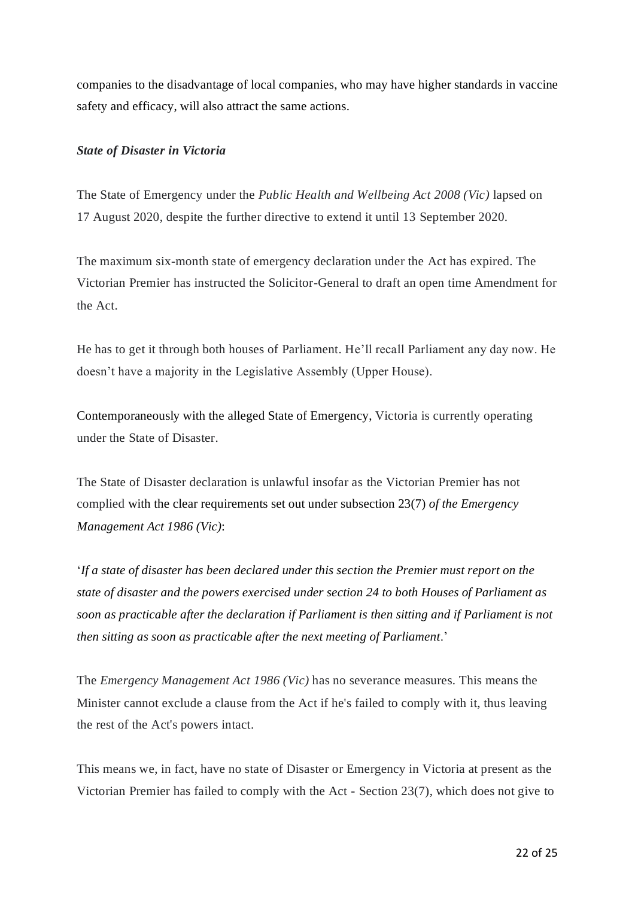companies to the disadvantage of local companies, who may have higher standards in vaccine safety and efficacy, will also attract the same actions.

# *State of Disaster in Victoria*

The State of Emergency under the *Public Health and Wellbeing Act 2008 (Vic)* lapsed on 17 August 2020, despite the further directive to extend it until 13 September 2020.

The maximum six-month state of emergency declaration under the Act has expired. The Victorian Premier has instructed the Solicitor-General to draft an open time Amendment for the Act.

He has to get it through both houses of Parliament. He'll recall Parliament any day now. He doesn't have a majority in the Legislative Assembly (Upper House).

Contemporaneously with the alleged State of Emergency, Victoria is currently operating under the State of Disaster.

The State of Disaster declaration is unlawful insofar as the Victorian Premier has not complied with the clear requirements set out under subsection 23(7) *of the Emergency Management Act 1986 (Vic)*:

'*If a state of disaster has been declared under this section the Premier must report on the state of disaster and the powers exercised under section 24 to both Houses of Parliament as soon as practicable after the declaration if Parliament is then sitting and if Parliament is not then sitting as soon as practicable after the next meeting of Parliament*.'

The *Emergency Management Act 1986 (Vic)* has no severance measures. This means the Minister cannot exclude a clause from the Act if he's failed to comply with it, thus leaving the rest of the Act's powers intact.

This means we, in fact, have no state of Disaster or Emergency in Victoria at present as the Victorian Premier has failed to comply with the Act - Section 23(7), which does not give to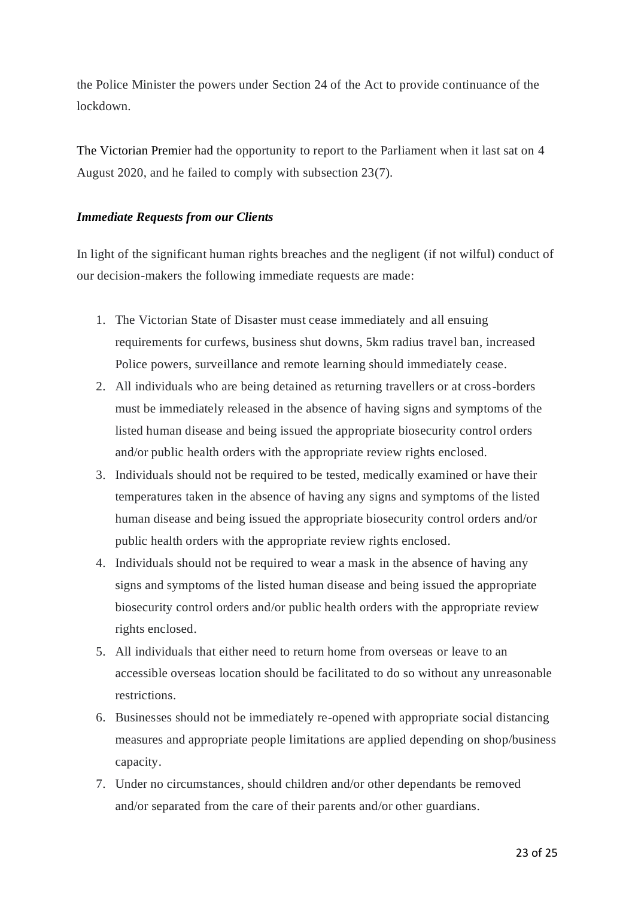the Police Minister the powers under Section 24 of the Act to provide continuance of the lockdown.

The Victorian Premier had the opportunity to report to the Parliament when it last sat on 4 August 2020, and he failed to comply with subsection 23(7).

# *Immediate Requests from our Clients*

In light of the significant human rights breaches and the negligent (if not wilful) conduct of our decision-makers the following immediate requests are made:

- 1. The Victorian State of Disaster must cease immediately and all ensuing requirements for curfews, business shut downs, 5km radius travel ban, increased Police powers, surveillance and remote learning should immediately cease.
- 2. All individuals who are being detained as returning travellers or at cross-borders must be immediately released in the absence of having signs and symptoms of the listed human disease and being issued the appropriate biosecurity control orders and/or public health orders with the appropriate review rights enclosed.
- 3. Individuals should not be required to be tested, medically examined or have their temperatures taken in the absence of having any signs and symptoms of the listed human disease and being issued the appropriate biosecurity control orders and/or public health orders with the appropriate review rights enclosed.
- 4. Individuals should not be required to wear a mask in the absence of having any signs and symptoms of the listed human disease and being issued the appropriate biosecurity control orders and/or public health orders with the appropriate review rights enclosed.
- 5. All individuals that either need to return home from overseas or leave to an accessible overseas location should be facilitated to do so without any unreasonable restrictions.
- 6. Businesses should not be immediately re-opened with appropriate social distancing measures and appropriate people limitations are applied depending on shop/business capacity.
- 7. Under no circumstances, should children and/or other dependants be removed and/or separated from the care of their parents and/or other guardians.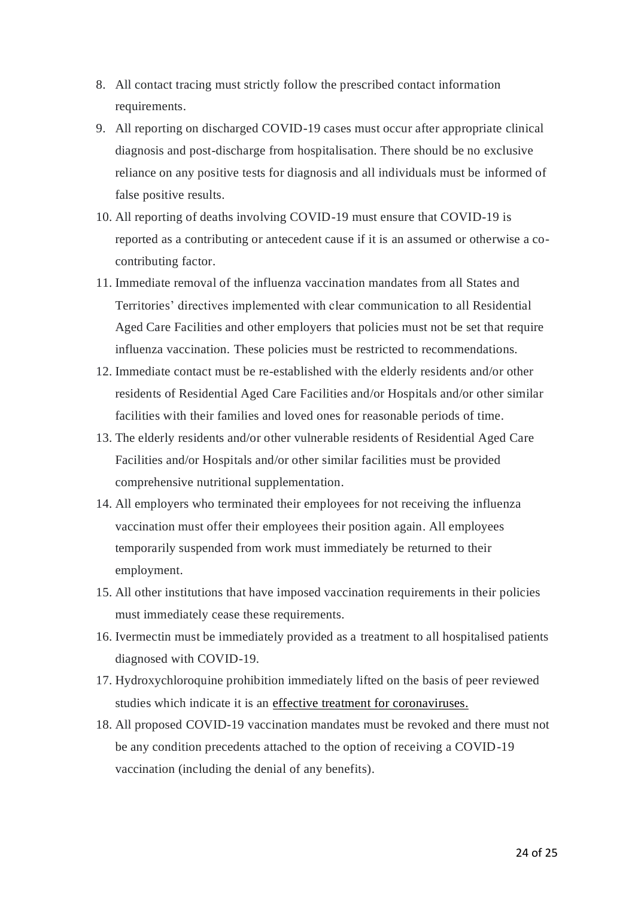- 8. All contact tracing must strictly follow the prescribed contact information requirements.
- 9. All reporting on discharged COVID-19 cases must occur after appropriate clinical diagnosis and post-discharge from hospitalisation. There should be no exclusive reliance on any positive tests for diagnosis and all individuals must be informed of false positive results.
- 10. All reporting of deaths involving COVID-19 must ensure that COVID-19 is reported as a contributing or antecedent cause if it is an assumed or otherwise a cocontributing factor.
- 11. Immediate removal of the influenza vaccination mandates from all States and Territories' directives implemented with clear communication to all Residential Aged Care Facilities and other employers that policies must not be set that require influenza vaccination. These policies must be restricted to recommendations.
- 12. Immediate contact must be re-established with the elderly residents and/or other residents of Residential Aged Care Facilities and/or Hospitals and/or other similar facilities with their families and loved ones for reasonable periods of time.
- 13. The elderly residents and/or other vulnerable residents of Residential Aged Care Facilities and/or Hospitals and/or other similar facilities must be provided comprehensive nutritional supplementation.
- 14. All employers who terminated their employees for not receiving the influenza vaccination must offer their employees their position again. All employees temporarily suspended from work must immediately be returned to their employment.
- 15. All other institutions that have imposed vaccination requirements in their policies must immediately cease these requirements.
- 16. Ivermectin must be immediately provided as a treatment to all hospitalised patients diagnosed with COVID-19.
- 17. Hydroxychloroquine prohibition immediately lifted on the basis of peer reviewed studies which indicate it is an [effective treatment for coronaviruses.](https://pubmed.ncbi.nlm.nih.gov/16115318/)
- 18. All proposed COVID-19 vaccination mandates must be revoked and there must not be any condition precedents attached to the option of receiving a COVID-19 vaccination (including the denial of any benefits).